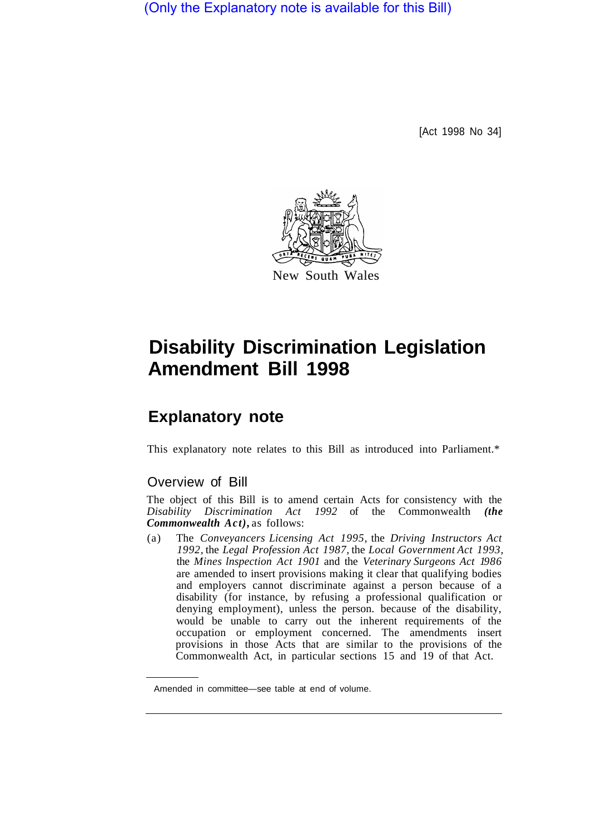(Only the Explanatory note is available for this Bill)

[Act 1998 No 34]



## **Disability Discrimination Legislation Amendment Bill 1998**

## **Explanatory note**

This explanatory note relates to this Bill as introduced into Parliament.\*

## Overview of Bill

The object of this Bill is to amend certain Acts for consistency with the *Disability Discrimination Act 1992* of the Commonwealth *(the Commonwealth Act),* as foIlows:

(a) The *Conveyancers Licensing Act 1995,* the *Driving Instructors Act 1992,* the *Legal Profession Act 1987,* the *Local Government Act 1993,*  the *Mines lnspection Act 1901* and the *Veterinary Surgeons Act 1986*  are amended to insert provisions making it clear that qualifying bodies and employers cannot discriminate against a person because of a disability (for instance, by refusing a professional qualification or denying employment), unless the person. because of the disability, would be unable to carry out the inherent requirements of the occupation or employment concerned. The amendments insert provisions in those Acts that are similar to the provisions of the Commonwealth Act, in particular sections 15 and 19 of that Act.

Amended in committee—see table at end of volume.